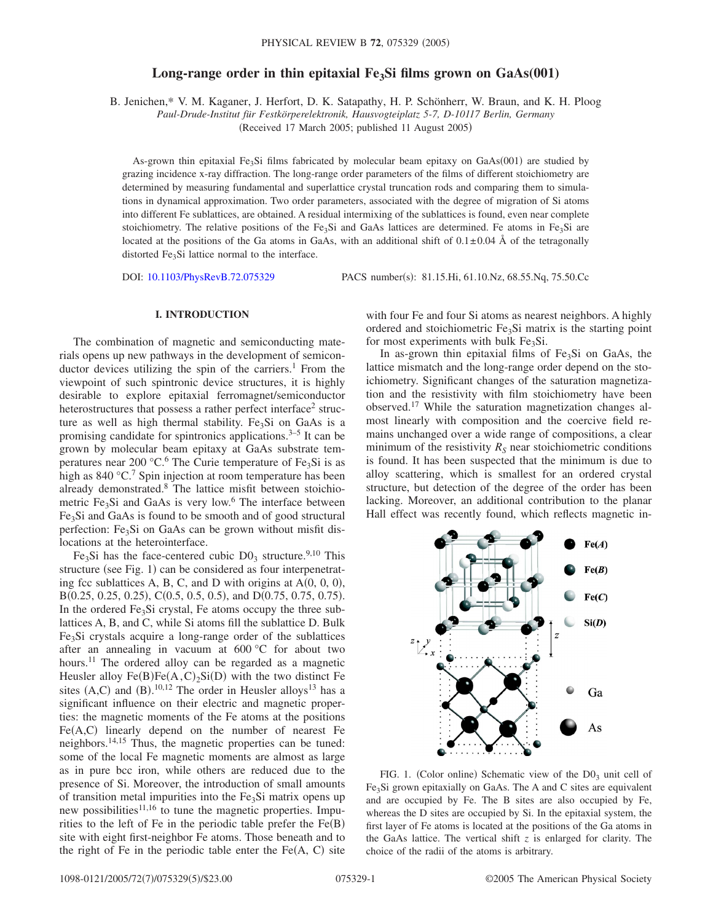# Long-range order in thin epitaxial Fe<sub>3</sub>Si films grown on GaAs(001)

B. Jenichen,\* V. M. Kaganer, J. Herfort, D. K. Satapathy, H. P. Schönherr, W. Braun, and K. H. Ploog

*Paul-Drude-Institut für Festkörperelektronik, Hausvogteiplatz 5-7, D-10117 Berlin, Germany*

(Received 17 March 2005; published 11 August 2005)

As-grown thin epitaxial Fe<sub>3</sub>Si films fabricated by molecular beam epitaxy on  $GaAs(001)$  are studied by grazing incidence x-ray diffraction. The long-range order parameters of the films of different stoichiometry are determined by measuring fundamental and superlattice crystal truncation rods and comparing them to simulations in dynamical approximation. Two order parameters, associated with the degree of migration of Si atoms into different Fe sublattices, are obtained. A residual intermixing of the sublattices is found, even near complete stoichiometry. The relative positions of the Fe<sub>3</sub>Si and GaAs lattices are determined. Fe atoms in Fe<sub>3</sub>Si are located at the positions of the Ga atoms in GaAs, with an additional shift of  $0.1 \pm 0.04$  Å of the tetragonally distorted Fe<sub>3</sub>Si lattice normal to the interface.

DOI: [10.1103/PhysRevB.72.075329](http://dx.doi.org/10.1103/PhysRevB.72.075329)

PACS number(s): 81.15.Hi, 61.10.Nz, 68.55.Nq, 75.50.Cc

## **I. INTRODUCTION**

The combination of magnetic and semiconducting materials opens up new pathways in the development of semiconductor devices utilizing the spin of the carriers.<sup>1</sup> From the viewpoint of such spintronic device structures, it is highly desirable to explore epitaxial ferromagnet/semiconductor heterostructures that possess a rather perfect interface<sup>2</sup> structure as well as high thermal stability. Fe<sub>3</sub>Si on GaAs is a promising candidate for spintronics applications. $3-5$  It can be grown by molecular beam epitaxy at GaAs substrate temperatures near 200  $\mathrm{C}$ .<sup>6</sup> The Curie temperature of Fe<sub>3</sub>Si is as high as  $840 \degree C$ .<sup>7</sup> Spin injection at room temperature has been already demonstrated.8 The lattice misfit between stoichiometric  $Fe<sub>3</sub>Si$  and GaAs is very low.<sup>6</sup> The interface between Fe<sub>3</sub>Si and GaAs is found to be smooth and of good structural perfection: Fe<sub>3</sub>Si on GaAs can be grown without misfit dislocations at the heterointerface.

Fe<sub>3</sub>Si has the face-centered cubic  $D_0$ <sub>3</sub> structure.<sup>9,10</sup> This structure (see Fig. 1) can be considered as four interpenetrating fcc sublattices A, B, C, and D with origins at  $A(0, 0, 0)$ ,  $B(0.25, 0.25, 0.25), C(0.5, 0.5, 0.5),$  and  $D(0.75, 0.75, 0.75)$ . In the ordered  $Fe<sub>3</sub>Si$  crystal, Fe atoms occupy the three sublattices A, B, and C, while Si atoms fill the sublattice D. Bulk Fe3Si crystals acquire a long-range order of the sublattices after an annealing in vacuum at 600 °C for about two hours.<sup>11</sup> The ordered alloy can be regarded as a magnetic Heusler alloy  $Fe(B)Fe(A, C)_2Si(D)$  with the two distinct Fe sites  $(A, C)$  and  $(B)$ .<sup>10,12</sup> The order in Heusler alloys<sup>13</sup> has a significant influence on their electric and magnetic properties: the magnetic moments of the Fe atoms at the positions  $Fe(A, C)$  linearly depend on the number of nearest Fe neighbors.14,15 Thus, the magnetic properties can be tuned: some of the local Fe magnetic moments are almost as large as in pure bcc iron, while others are reduced due to the presence of Si. Moreover, the introduction of small amounts of transition metal impurities into the  $Fe<sub>3</sub>Si$  matrix opens up new possibilities $11,16$  to tune the magnetic properties. Impurities to the left of Fe in the periodic table prefer the  $Fe(B)$ site with eight first-neighbor Fe atoms. Those beneath and to the right of Fe in the periodic table enter the  $Fe(A, C)$  site

with four Fe and four Si atoms as nearest neighbors. A highly ordered and stoichiometric  $Fe<sub>3</sub>Si$  matrix is the starting point for most experiments with bulk  $Fe<sub>3</sub>Si$ .

In as-grown thin epitaxial films of  $Fe<sub>3</sub>Si$  on GaAs, the lattice mismatch and the long-range order depend on the stoichiometry. Significant changes of the saturation magnetization and the resistivity with film stoichiometry have been observed.17 While the saturation magnetization changes almost linearly with composition and the coercive field remains unchanged over a wide range of compositions, a clear minimum of the resistivity  $R<sub>S</sub>$  near stoichiometric conditions is found. It has been suspected that the minimum is due to alloy scattering, which is smallest for an ordered crystal structure, but detection of the degree of the order has been lacking. Moreover, an additional contribution to the planar Hall effect was recently found, which reflects magnetic in-



FIG. 1. (Color online) Schematic view of the  $D_3$  unit cell of Fe3Si grown epitaxially on GaAs. The A and C sites are equivalent and are occupied by Fe. The B sites are also occupied by Fe, whereas the D sites are occupied by Si. In the epitaxial system, the first layer of Fe atoms is located at the positions of the Ga atoms in the GaAs lattice. The vertical shift *z* is enlarged for clarity. The choice of the radii of the atoms is arbitrary.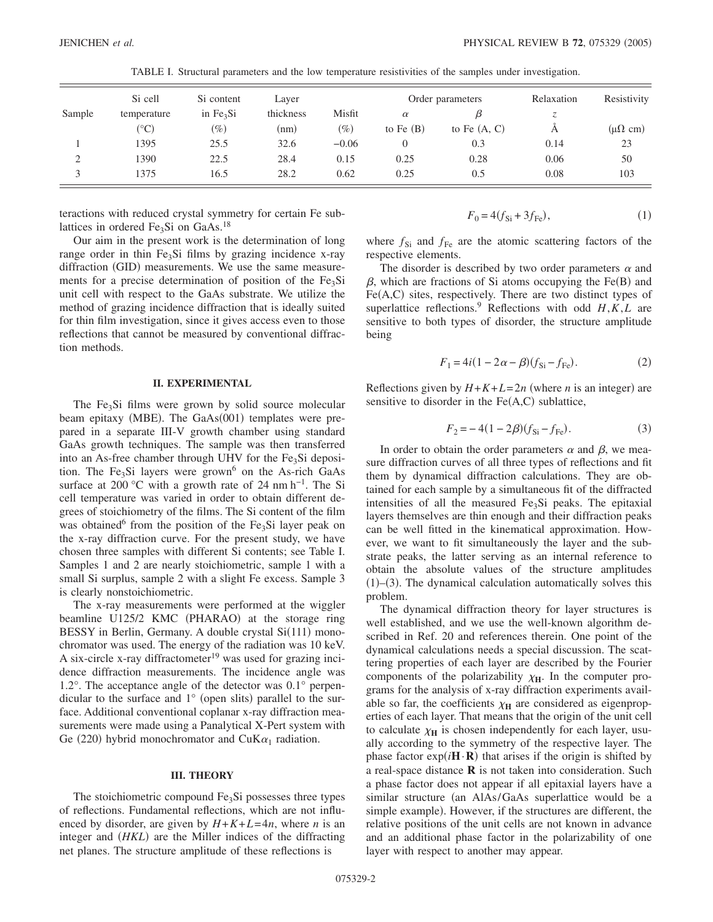|                    | Si cell      | Si content<br>in $Fe3Si$ | Layer<br>thickness |         | Order parameters |                | Relaxation | Resistivity              |
|--------------------|--------------|--------------------------|--------------------|---------|------------------|----------------|------------|--------------------------|
| Sample             | temperature  |                          |                    | Misfit  | $\alpha$         |                | ٨          |                          |
|                    | $(^\circ C)$ | $(\%)$                   | (nm)               | $(\%)$  | to Fe $(B)$      | to Fe $(A, C)$ | A          | $(\mu\Omega \text{ cm})$ |
|                    | 1395         | 25.5                     | 32.6               | $-0.06$ | $\theta$         | 0.3            | 0.14       | 23                       |
| $\mathcal{L}$<br>∠ | 1390         | 22.5                     | 28.4               | 0.15    | 0.25             | 0.28           | 0.06       | 50                       |
| $\mathcal{R}$      | 1375         | 16.5                     | 28.2               | 0.62    | 0.25             | 0.5            | 0.08       | 103                      |

TABLE I. Structural parameters and the low temperature resistivities of the samples under investigation.

teractions with reduced crystal symmetry for certain Fe sublattices in ordered  $Fe<sub>3</sub>Si$  on GaAs.<sup>18</sup>

Our aim in the present work is the determination of long range order in thin  $Fe<sub>3</sub>Si$  films by grazing incidence x-ray diffraction (GID) measurements. We use the same measurements for a precise determination of position of the  $Fe<sub>3</sub>Si$ unit cell with respect to the GaAs substrate. We utilize the method of grazing incidence diffraction that is ideally suited for thin film investigation, since it gives access even to those reflections that cannot be measured by conventional diffraction methods.

### **II. EXPERIMENTAL**

The  $Fe<sub>3</sub>Si$  films were grown by solid source molecular beam epitaxy (MBE). The GaAs(001) templates were prepared in a separate III-V growth chamber using standard GaAs growth techniques. The sample was then transferred into an As-free chamber through UHV for the  $Fe<sub>3</sub>Si$  deposition. The Fe<sub>3</sub>Si layers were grown<sup>6</sup> on the As-rich GaAs surface at 200 °C with a growth rate of 24 nm h<sup>-1</sup>. The Si cell temperature was varied in order to obtain different degrees of stoichiometry of the films. The Si content of the film was obtained<sup>6</sup> from the position of the Fe<sub>3</sub>Si layer peak on the x-ray diffraction curve. For the present study, we have chosen three samples with different Si contents; see Table I. Samples 1 and 2 are nearly stoichiometric, sample 1 with a small Si surplus, sample 2 with a slight Fe excess. Sample 3 is clearly nonstoichiometric.

The x-ray measurements were performed at the wiggler beamline U125/2 KMC (PHARAO) at the storage ring BESSY in Berlin, Germany. A double crystal Si(111) monochromator was used. The energy of the radiation was 10 keV. A six-circle x-ray diffractometer<sup>19</sup> was used for grazing incidence diffraction measurements. The incidence angle was 1.2°. The acceptance angle of the detector was 0.1° perpendicular to the surface and  $1^{\circ}$  (open slits) parallel to the surface. Additional conventional coplanar x-ray diffraction measurements were made using a Panalytical X-Pert system with Ge (220) hybrid monochromator and CuK $\alpha_1$  radiation.

### **III. THEORY**

The stoichiometric compound  $Fe<sub>3</sub>Si$  possesses three types of reflections. Fundamental reflections, which are not influenced by disorder, are given by  $H + K + L = 4n$ , where *n* is an integer and *(HKL)* are the Miller indices of the diffracting net planes. The structure amplitude of these reflections is

$$
F_0 = 4(f_{\rm Si} + 3f_{\rm Fe}),\tag{1}
$$

where  $f_{\text{Si}}$  and  $f_{\text{Fe}}$  are the atomic scattering factors of the respective elements.

The disorder is described by two order parameters  $\alpha$  and  $\beta$ , which are fractions of Si atoms occupying the Fe(B) and  $Fe(A, C)$  sites, respectively. There are two distinct types of superlattice reflections.<sup>9</sup> Reflections with odd  $H, K, L$  are sensitive to both types of disorder, the structure amplitude being

$$
F_1 = 4i(1 - 2\alpha - \beta)(f_{\rm Si} - f_{\rm Fe}).
$$
 (2)

Reflections given by  $H + K + L = 2n$  (where *n* is an integer) are sensitive to disorder in the  $Fe(A, C)$  sublattice,

$$
F_2 = -4(1 - 2\beta)(f_{\rm Si} - f_{\rm Fe}).
$$
\n(3)

In order to obtain the order parameters  $\alpha$  and  $\beta$ , we measure diffraction curves of all three types of reflections and fit them by dynamical diffraction calculations. They are obtained for each sample by a simultaneous fit of the diffracted intensities of all the measured  $Fe<sub>3</sub>Si$  peaks. The epitaxial layers themselves are thin enough and their diffraction peaks can be well fitted in the kinematical approximation. However, we want to fit simultaneously the layer and the substrate peaks, the latter serving as an internal reference to obtain the absolute values of the structure amplitudes  $(1)$ – $(3)$ . The dynamical calculation automatically solves this problem.

The dynamical diffraction theory for layer structures is well established, and we use the well-known algorithm described in Ref. 20 and references therein. One point of the dynamical calculations needs a special discussion. The scattering properties of each layer are described by the Fourier components of the polarizability  $\chi_{\text{H}}$ . In the computer programs for the analysis of x-ray diffraction experiments available so far, the coefficients  $\chi_{\rm H}$  are considered as eigenproperties of each layer. That means that the origin of the unit cell to calculate  $\chi_{\text{H}}$  is chosen independently for each layer, usually according to the symmetry of the respective layer. The phase factor  $exp(i\mathbf{H} \cdot \mathbf{R})$  that arises if the origin is shifted by a real-space distance **R** is not taken into consideration. Such a phase factor does not appear if all epitaxial layers have a similar structure (an AlAs/GaAs superlattice would be a simple example). However, if the structures are different, the relative positions of the unit cells are not known in advance and an additional phase factor in the polarizability of one layer with respect to another may appear.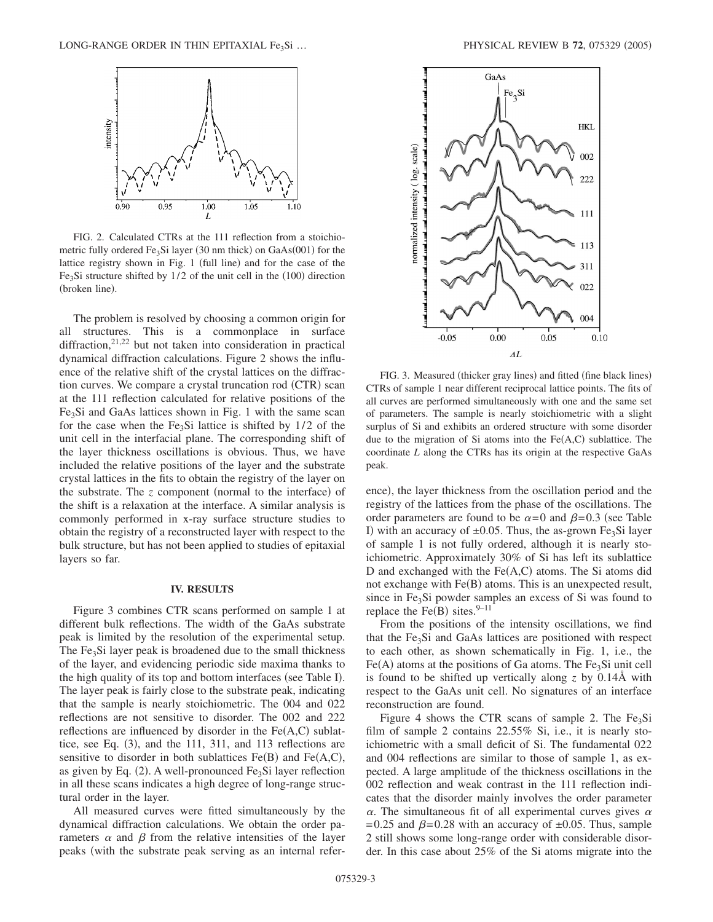

FIG. 2. Calculated CTRs at the 111 reflection from a stoichiometric fully ordered  $Fe<sub>3</sub>Si$  layer (30 nm thick) on  $GaAs(001)$  for the lattice registry shown in Fig. 1 (full line) and for the case of the Fe<sub>3</sub>Si structure shifted by  $1/2$  of the unit cell in the  $(100)$  direction (broken line).

The problem is resolved by choosing a common origin for all structures. This is a commonplace in surface diffraction,<sup>21,22</sup> but not taken into consideration in practical dynamical diffraction calculations. Figure 2 shows the influence of the relative shift of the crystal lattices on the diffraction curves. We compare a crystal truncation rod (CTR) scan at the 111 reflection calculated for relative positions of the  $Fe<sub>3</sub>Si$  and GaAs lattices shown in Fig. 1 with the same scan for the case when the Fe<sub>3</sub>Si lattice is shifted by  $1/2$  of the unit cell in the interfacial plane. The corresponding shift of the layer thickness oscillations is obvious. Thus, we have included the relative positions of the layer and the substrate crystal lattices in the fits to obtain the registry of the layer on the substrate. The *z* component (normal to the interface) of the shift is a relaxation at the interface. A similar analysis is commonly performed in x-ray surface structure studies to obtain the registry of a reconstructed layer with respect to the bulk structure, but has not been applied to studies of epitaxial layers so far.

## **IV. RESULTS**

Figure 3 combines CTR scans performed on sample 1 at different bulk reflections. The width of the GaAs substrate peak is limited by the resolution of the experimental setup. The  $Fe<sub>3</sub>Si$  layer peak is broadened due to the small thickness of the layer, and evidencing periodic side maxima thanks to the high quality of its top and bottom interfaces (see Table I). The layer peak is fairly close to the substrate peak, indicating that the sample is nearly stoichiometric. The 004 and 022 reflections are not sensitive to disorder. The 002 and 222 reflections are influenced by disorder in the  $Fe(A, C)$  sublattice, see Eq.  $(3)$ , and the 111, 311, and 113 reflections are sensitive to disorder in both sublattices  $Fe(B)$  and  $Fe(A, C)$ , as given by Eq.  $(2)$ . A well-pronounced Fe<sub>3</sub>Si layer reflection in all these scans indicates a high degree of long-range structural order in the layer.

All measured curves were fitted simultaneously by the dynamical diffraction calculations. We obtain the order parameters  $\alpha$  and  $\beta$  from the relative intensities of the layer peaks (with the substrate peak serving as an internal refer-



FIG. 3. Measured (thicker gray lines) and fitted (fine black lines) CTRs of sample 1 near different reciprocal lattice points. The fits of all curves are performed simultaneously with one and the same set of parameters. The sample is nearly stoichiometric with a slight surplus of Si and exhibits an ordered structure with some disorder due to the migration of Si atoms into the  $Fe(A,C)$  sublattice. The coordinate *L* along the CTRs has its origin at the respective GaAs peak.

ence), the layer thickness from the oscillation period and the registry of the lattices from the phase of the oscillations. The order parameters are found to be  $\alpha = 0$  and  $\beta = 0.3$  (see Table I) with an accuracy of  $\pm 0.05$ . Thus, the as-grown Fe<sub>3</sub>Si layer of sample 1 is not fully ordered, although it is nearly stoichiometric. Approximately 30% of Si has left its sublattice D and exchanged with the  $Fe(A, C)$  atoms. The Si atoms did not exchange with Fe(B) atoms. This is an unexpected result, since in Fe<sub>3</sub>Si powder samples an excess of Si was found to replace the Fe(B) sites.  $9-11$ 

From the positions of the intensity oscillations, we find that the  $Fe<sub>3</sub>Si$  and GaAs lattices are positioned with respect to each other, as shown schematically in Fig. 1, i.e., the  $Fe(A)$  atoms at the positions of Ga atoms. The  $Fe<sub>3</sub>Si$  unit cell is found to be shifted up vertically along *z* by 0.14Å with respect to the GaAs unit cell. No signatures of an interface reconstruction are found.

Figure 4 shows the CTR scans of sample 2. The  $Fe<sub>3</sub>Si$ film of sample 2 contains 22.55% Si, i.e., it is nearly stoichiometric with a small deficit of Si. The fundamental 022 and 004 reflections are similar to those of sample 1, as expected. A large amplitude of the thickness oscillations in the 002 reflection and weak contrast in the 111 reflection indicates that the disorder mainly involves the order parameter  $\alpha$ . The simultaneous fit of all experimental curves gives  $\alpha$  $= 0.25$  and  $\beta = 0.28$  with an accuracy of  $\pm 0.05$ . Thus, sample 2 still shows some long-range order with considerable disorder. In this case about 25% of the Si atoms migrate into the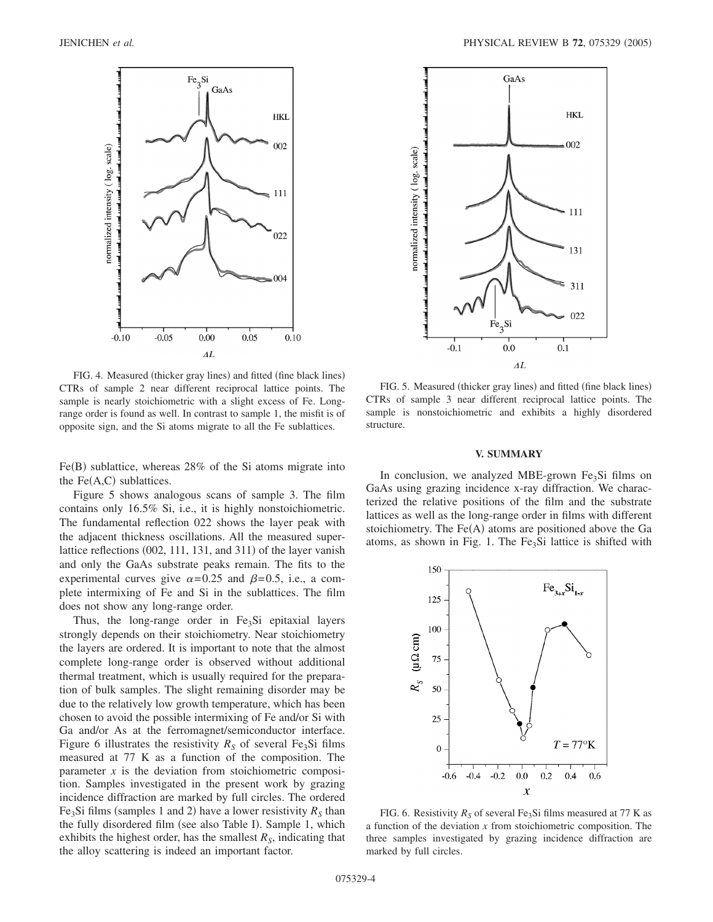

FIG. 4. Measured (thicker gray lines) and fitted (fine black lines) CTRs of sample 2 near different reciprocal lattice points. The sample is nearly stoichiometric with a slight excess of Fe. Longrange order is found as well. In contrast to sample 1, the misfit is of opposite sign, and the Si atoms migrate to all the Fe sublattices.

Fe(B) sublattice, whereas 28% of the Si atoms migrate into the  $Fe(A, C)$  sublattices.

Figure 5 shows analogous scans of sample 3. The film contains only 16.5% Si, i.e., it is highly nonstoichiometric. The fundamental reflection 022 shows the layer peak with the adjacent thickness oscillations. All the measured superlattice reflections (002, 111, 131, and 311) of the layer vanish and only the GaAs substrate peaks remain. The fits to the experimental curves give  $\alpha = 0.25$  and  $\beta = 0.5$ , i.e., a complete intermixing of Fe and Si in the sublattices. The film does not show any long-range order.

Thus, the long-range order in  $Fe<sub>3</sub>Si$  epitaxial layers strongly depends on their stoichiometry. Near stoichiometry the layers are ordered. It is important to note that the almost complete long-range order is observed without additional thermal treatment, which is usually required for the preparation of bulk samples. The slight remaining disorder may be due to the relatively low growth temperature, which has been chosen to avoid the possible intermixing of Fe and/or Si with Ga and/or As at the ferromagnet/semiconductor interface. Figure 6 illustrates the resistivity  $R<sub>S</sub>$  of several Fe<sub>3</sub>Si films measured at 77 K as a function of the composition. The parameter  $x$  is the deviation from stoichiometric composition. Samples investigated in the present work by grazing incidence diffraction are marked by full circles. The ordered Fe<sub>3</sub>Si films (samples 1 and 2) have a lower resistivity  $R_S$  than the fully disordered film (see also Table I). Sample 1, which exhibits the highest order, has the smallest  $R<sub>S</sub>$ , indicating that the alloy scattering is indeed an important factor.



FIG. 5. Measured (thicker gray lines) and fitted (fine black lines) CTRs of sample 3 near different reciprocal lattice points. The sample is nonstoichiometric and exhibits a highly disordered structure.

#### **V. SUMMARY**

In conclusion, we analyzed MBE-grown  $Fe<sub>3</sub>Si$  films on GaAs using grazing incidence x-ray diffraction. We characterized the relative positions of the film and the substrate lattices as well as the long-range order in films with different stoichiometry. The  $Fe(A)$  atoms are positioned above the Ga atoms, as shown in Fig. 1. The  $Fe<sub>3</sub>Si$  lattice is shifted with



FIG. 6. Resistivity  $R_S$  of several Fe<sub>3</sub>Si films measured at 77 K as a function of the deviation *x* from stoichiometric composition. The three samples investigated by grazing incidence diffraction are marked by full circles.